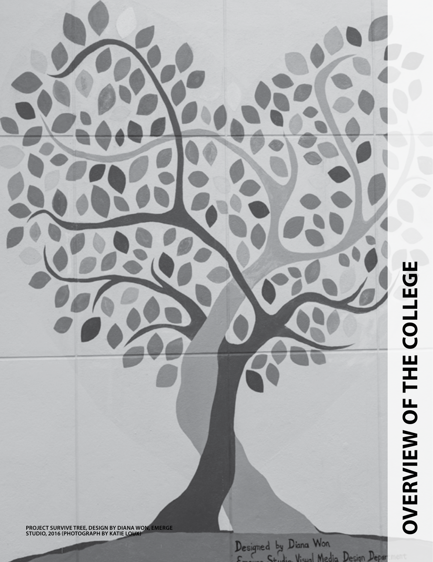**OVERVIEW OF THE COLLEGE overview of the college**

**PROJECT SURVIVE TREE, DESIGN BY DIANA WON, EMERGE STUDIO, 2016 (PHOTOGRAPH BY KATIE LOUX)**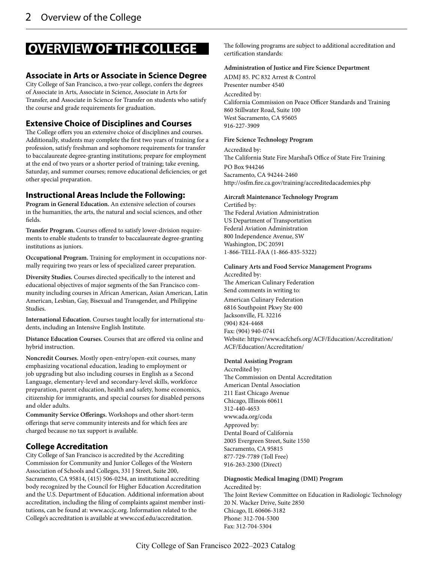# **OVERVIEW OF THE COLLEGE**

#### **Associate in Arts or Associate in Science Degree**

City College of San Francisco, a two-year college, confers the degrees of Associate in Arts, Associate in Science, Associate in Arts for Transfer, and Associate in Science for Transfer on students who satisfy the course and grade requirements for graduation.

#### **Extensive Choice of Disciplines and Courses**

The College offers you an extensive choice of disciplines and courses. Additionally, students may complete the first two years of training for a profession, satisfy freshman and sophomore requirements for transfer to baccalaureate degree-granting institutions; prepare for employment at the end of two years or a shorter period of training; take evening, Saturday, and summer courses; remove educational deficiencies; or get other special preparation.

#### **Instructional Areas Include the Following:**

**Program in General Education.** An extensive selection of courses in the humanities, the arts, the natural and social sciences, and other fields.

**Transfer Program.** Courses offered to satisfy lower-division requirements to enable students to transfer to baccalaureate degree-granting institutions as juniors.

**Occupational Program.** Training for employment in occupations normally requiring two years or less of specialized career preparation.

**Diversity Studies.** Courses directed specifically to the interest and educational objectives of major segments of the San Francisco community including courses in African American, Asian American, Latin American, Lesbian, Gay, Bisexual and Transgender, and Philippine Studies.

**International Education.** Courses taught locally for international students, including an Intensive English Institute.

**Distance Education Courses.** Courses that are offered via online and hybrid instruction.

**Noncredit Courses.** Mostly open-entry/open-exit courses, many emphasizing vocational education, leading to employment or job upgrading but also including courses in English as a Second Language, elementary-level and secondary-level skills, workforce preparation, parent education, health and safety, home economics, citizenship for immigrants, and special courses for disabled persons and older adults.

**Community Service Offerings.** Workshops and other short-term offerings that serve community interests and for which fees are charged because no tax support is available.

#### **College Accreditation**

City College of San Francisco is accredited by the Accrediting Commission for Community and Junior Colleges of the Western Association of Schools and Colleges, 331 J Street, Suite 200, Sacramento, CA 95814, (415) 506-0234, an institutional accrediting body recognized by the Council for Higher Education Accreditation and the U.S. Department of Education. Additional information about accreditation, including the filing of complaints against member institutions, can be found at: www.accjc.org. Information related to the College's accreditation is available at www.ccsf.edu/accreditation.

The following programs are subject to additional accreditation and certification standards:

#### **Administration of Justice and Fire Science Department**

ADMJ 85. PC 832 Arrest & Control Presenter number 4540 Accredited by: California Commission on Peace Officer Standards and Training 860 Stillwater Road, Suite 100 West Sacramento, CA 95605 916-227-3909

#### **Fire Science Technology Program**

Accredited by: The California State Fire Marshal's Office of State Fire Training PO Box 944246 Sacramento, CA 94244-2460 http://osfm.fire.ca.gov/training/accreditedacademies.php

#### **Aircraft Maintenance Technology Program**

Certified by: The Federal Aviation Administration US Department of Transportation Federal Aviation Administration 800 Independence Avenue, SW Washington, DC 20591 1-866-TELL-FAA (1-866-835-5322)

#### **Culinary Arts and Food Service Management Programs**

Accredited by: The American Culinary Federation Send comments in writing to: American Culinary Federation 6816 Southpoint Pkwy Ste 400 Jacksonville, FL 32216

(904) 824-4468 Fax: (904) 940-0741 Website: https://www.acfchefs.org/ACF/Education/Accreditation/ ACF/Education/Accreditation/

#### **Dental Assisting Program**

Accredited by: The Commission on Dental Accreditation American Dental Association 211 East Chicago Avenue Chicago, Illinois 60611 312-440-4653 www.ada.org/coda Approved by: Dental Board of California 2005 Evergreen Street, Suite 1550 Sacramento, CA 95815 877-729-7789 (Toll Free) 916-263-2300 (Direct)

#### **Diagnostic Medical Imaging (DMI) Program**  Accredited by: The Joint Review Committee on Education in Radiologic Technology 20 N. Wacker Drive, Suite 2850 Chicago, IL 60606-3182 Phone: 312-704-5300 Fax: 312-704-5304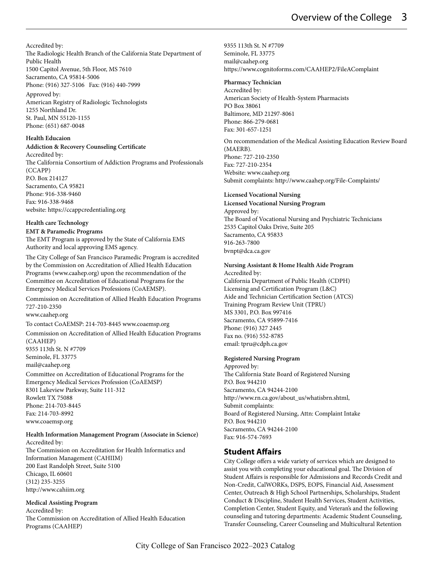<span id="page-2-0"></span>Accredited by: The Radiologic Health Branch of the California State Department of Public Health 1500 Capitol Avenue, 5th Floor, MS 7610 Sacramento, CA 95814-5006 Phone: (916) 327-5106 Fax: (916) 440-7999

Approved by: American Registry of Radiologic Technologists 1255 Northland Dr. St. Paul, MN 55120-1155 Phone: (651) 687-0048

#### **Health Educaion**

**Addiction & Recovery Counseling Certificate** 

Accredited by: The California Consortium of Addiction Programs and Professionals (CCAPP) P.O. Box 214127 Sacramento, CA 95821 Phone: 916-338-9460 Fax: 916-338-9468 website: https://ccappcredentialing.org

#### **Health care Technology**

**EMT & Paramedic Programs** 

The EMT Program is approved by the State of California EMS Authority and local approving EMS agency.

The City College of San Francisco Paramedic Program is accredited by the Commission on Accreditation of Allied Health Education Programs (www.caahep.org) upon the recommendation of the Committee on Accreditation of Educational Programs for the Emergency Medical Services Professions (CoAEMSP).

Commission on Accreditation of Allied Health Education Programs 727-210-2350 www.caahep.org

To contact CoAEMSP: 214-703-8445 www.coaemsp.org

Commission on Accreditation of Allied Health Education Programs (CAAHEP) 9355 113th St. N #7709 Seminole, FL 33775 mail@caahep.org

Committee on Accreditation of Educational Programs for the Emergency Medical Services Profession (CoAEMSP) 8301 Lakeview Parkway, Suite 111-312 Rowlett TX 75088 Phone: 214-703-8445 Fax: 214-703-8992 www.coaemsp.org

#### **Health Information Management Program (Associate in Science)**  Accredited by:

The Commission on Accreditation for Health Informatics and Information Management (CAHIIM) 200 East Randolph Street, Suite 5100 Chicago, IL 60601 (312) 235-3255 http://www.cahiim.org

#### **Medical Assisting Program**

Accredited by: The Commission on Accreditation of Allied Health Education Programs (CAAHEP)

9355 113th St. N #7709 Seminole, FL 33775 mail@caahep.org https://www.cognitoforms.com/CAAHEP2/FileAComplaint

#### **Pharmacy Technician**

Accredited by: American Society of Health-System Pharmacists PO Box 38061 Baltimore, MD 21297-8061 Phone: 866-279-0681 Fax: 301-657-1251

On recommendation of the Medical Assisting Education Review Board (MAERB). Phone: 727-210-2350 Fax: 727-210-2354 Website: www.caahep.org Submit complaints: http://www.caahep.org/File-Complaints/

#### **Licensed Vocational Nursing**

**Licensed Vocational Nursing Program**  Approved by: The Board of Vocational Nursing and Psychiatric Technicians 2535 Capitol Oaks Drive, Suite 205 Sacramento, CA 95833 916-263-7800 bvnpt@dca.ca.gov

#### **Nursing Assistant & Home Health Aide Program**

Accredited by: California Department of Public Health (CDPH) Licensing and Certification Program (L&C) Aide and Technician Certification Section (ATCS) Training Program Review Unit (TPRU) MS 3301, P.O. Box 997416 Sacramento, CA 95899-7416 Phone: (916) 327 2445 Fax no. (916) 552-8785 email: tpru@cdph.ca.gov

#### **Registered Nursing Program**

Approved by: The California State Board of Registered Nursing P.O. Box 944210 Sacramento, CA 94244-2100 http://www.rn.ca.gov/about\_us/whatisbrn.shtml, Submit complaints: Board of Registered Nursing, Attn: Complaint Intake P.O. Box 944210 Sacramento, CA 94244-2100 Fax: 916-574-7693

#### **Student Affairs**

City College offers a wide variety of services which are designed to assist you with completing your educational goal. The Division of Student Affairs is responsible for Admissions and Records Credit and Non-Credit, CalWORKs, DSPS, EOPS, Financial Aid, Assessment Center, Outreach & High School Partnerships, Scholarships, Student Conduct & Discipline, Student Health Services, Student Activities, Completion Center, Student Equity, and Veteran's and the following counseling and tutoring departments: Academic Student Counseling, Transfer Counseling, Career Counseling and Multicultural Retention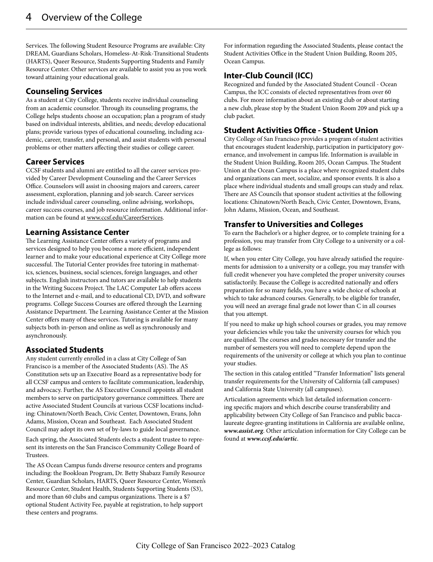<span id="page-3-0"></span>Services. The following Student Resource Programs are available: City DREAM, Guardians Scholars, Homeless-At-Risk-Transitional Students (HARTS), Queer Resource, Students Supporting Students and Family Resource Center. Other services are available to assist you as you work toward attaining your educational goals.

#### **Counseling Services**

As a student at City College, students receive individual counseling from an academic counselor. Through its counseling programs, the College helps students choose an occupation; plan a program of study based on individual interests, abilities, and needs; develop educational plans; provide various types of educational counseling, including academic, career, transfer, and personal, and assist students with personal problems or other matters affecting their studies or college career.

#### **Career Services**

CCSF students and alumni are entitled to all the career services provided by Career Development Counseling and the Career Services Office. Counselors will assist in choosing majors and careers, career assessment, exploration, planning and job search. Career services include individual career counseling, online advising, workshops, career success courses, and job resource information. Additional information can be found at www.ccsf.edu/CareerServices.

#### **Learning Assistance Center**

The Learning Assistance Center offers a variety of programs and services designed to help you become a more efficient, independent learner and to make your educational experience at City College more successful. The Tutorial Center provides free tutoring in mathematics, sciences, business, social sciences, foreign languages, and other subjects. English instructors and tutors are available to help students in the Writing Success Project. The LAC Computer Lab offers access to the Internet and e-mail, and to educational CD, DVD, and software programs. College Success Courses are offered through the Learning Assistance Department. The Learning Assistance Center at the Mission Center offers many of these services. Tutoring is available for many subjects both in-person and online as well as synchronously and asynchronously.

#### **Associated Students**

Any student currently enrolled in a class at City College of San Francisco is a member of the Associated Students (AS). The AS Constitution sets up an Executive Board as a representative body for all CCSF campus and centers to facilitate communication, leadership, and advocacy. Further, the AS Executive Council appoints all student members to serve on participatory governance committees. There are active Associated Student Councils at various CCSF locations including: Chinatown/North Beach, Civic Center, Downtown, Evans, John Adams, Mission, Ocean and Southeast. Each Associated Student Council may adopt its own set of by-laws to guide local governance.

Each spring, the Associated Students elects a student trustee to represent its interests on the San Francisco Community College Board of Trustees.

The AS Ocean Campus funds diverse resource centers and programs including: the Bookloan Program, Dr. Betty Shabazz Family Resource Center, Guardian Scholars, HARTS, Queer Resource Center, Women's Resource Center, Student Health, Students Supporting Students (S3), and more than 60 clubs and campus organizations. There is a \$7 optional Student Activity Fee, payable at registration, to help support these centers and programs.

For information regarding the Associated Students, please contact the Student Activities Office in the Student Union Building, Room 205, Ocean Campus.

#### **Inter-Club Council (ICC)**

Recognized and funded by the Associated Student Council - Ocean Campus, the ICC consists of elected representatives from over 60 clubs. For more information about an existing club or about starting a new club, please stop by the Student Union Room 209 and pick up a club packet.

#### **Student Activities Office - Student Union**

City College of San Francisco provides a program of student activities that encourages student leadership, participation in participatory governance, and involvement in campus life. Information is available in the Student Union Building, Room 205, Ocean Campus. The Student Union at the Ocean Campus is a place where recognized student clubs and organizations can meet, socialize, and sponsor events. It is also a place where individual students and small groups can study and relax. There are AS Councils that sponsor student activities at the following locations: Chinatown/North Beach, Civic Center, Downtown, Evans, John Adams, Mission, Ocean, and Southeast.

#### **Transfer to Universities and Colleges**

To earn the Bachelor's or a higher degree, or to complete training for a profession, you may transfer from City College to a university or a college as follows:

If, when you enter City College, you have already satisfied the requirements for admission to a university or a college, you may transfer with full credit whenever you have completed the proper university courses satisfactorily. Because the College is accredited nationally and offers preparation for so many fields, you have a wide choice of schools at which to take advanced courses. Generally, to be eligible for transfer, you will need an average final grade not lower than C in all courses that you attempt.

If you need to make up high school courses or grades, you may remove your deficiencies while you take the university courses for which you are qualified. The courses and grades necessary for transfer and the number of semesters you will need to complete depend upon the requirements of the university or college at which you plan to continue your studies.

The section in this catalog entitled "Transfer Information" lists general transfer requirements for the University of California (all campuses) and California State University (all campuses).

Articulation agreements which list detailed information concerning specific majors and which describe course transferability and applicability between City College of San Francisco and public baccalaureate degree-granting institutions in California are available online, *www.assist.org*. Other articulation information for City College can be found at *www.ccsf.edu/artic*.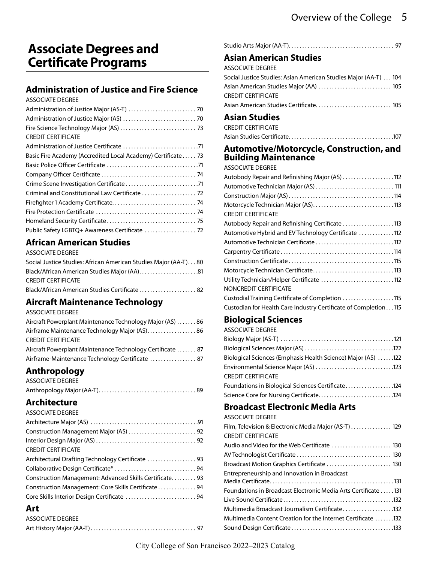# **Associate Degrees and Certificate Programs**

### **[Administration of Justice and Fire Science](#page-2-0)**

ASSOCIATE DEGREE

| <b>CREDIT CERTIFICATE</b>                                    |
|--------------------------------------------------------------|
|                                                              |
| Basic Fire Academy (Accredited Local Academy) Certificate 73 |
|                                                              |
|                                                              |
|                                                              |
|                                                              |
|                                                              |
|                                                              |
|                                                              |
| Public Safety LGBTQ+ Awareness Certificate  72               |
|                                                              |

### **[African American Studies](#page-13-0)**

| ASSOCIATE DEGREE                                                |
|-----------------------------------------------------------------|
| Social Justice Studies: African American Studies Major (AA-T)80 |
| Black/African American Studies Major (AA)81                     |
| <b>CREDIT CERTIFICATE</b>                                       |
| Black/African American Studies Certificate 82                   |

### **[Aircraft Maintenance Technology](#page-16-0)**

ASSOCIATE DEGREE

| Aircraft Powerplant Maintenance Technology Major (AS) 86   |  |
|------------------------------------------------------------|--|
| Airframe Maintenance Technology Major (AS) 86              |  |
| <b>CREDIT CERTIFICATE</b>                                  |  |
| Aircraft Powerplant Maintenance Technology Certificate  87 |  |
| Airframe-Maintenance Technology Certificate  87            |  |
|                                                            |  |

# **[Anthropology](#page-20-0)**

| ASSOCIATE DEGREE |  |
|------------------|--|
|                  |  |

### **[Architecture](#page-22-0)**

| <b>ASSOCIATE DEGREE</b>                                  |  |
|----------------------------------------------------------|--|
|                                                          |  |
|                                                          |  |
|                                                          |  |
| <b>CREDIT CERTIFICATE</b>                                |  |
| Architectural Drafting Technology Certificate  93        |  |
|                                                          |  |
| Construction Management: Advanced Skills Certificate. 93 |  |
| Construction Management: Core Skills Certificate  94     |  |
| Core Skills Interior Design Certificate 94               |  |
|                                                          |  |

### **[Art](#page-28-0)**

| ASSOCIATE DEGREE |  |
|------------------|--|
|                  |  |

### **[Asian American Studies](#page-35-0)**

| ASSOCIATE DEGREE                                                 |  |
|------------------------------------------------------------------|--|
| Social Justice Studies: Asian American Studies Major (AA-T)  104 |  |

| CREDIT CERTIFICATE |  |
|--------------------|--|
|                    |  |

### **[Asian Studies](#page-37-0)**

| CREDIT CERTIFICATE |  |  |  |
|--------------------|--|--|--|
|                    |  |  |  |

# [Asian Studies Certificate . . . . . . . . . . . . . . . . . . . . . . . . . . . . . . . . . . . . . . 107](#page-40-0)

#### **[Automotive/Motorcycle, Construction, and](#page-41-0)  [Building Maintenance](#page-41-0)**

ASSOCIATE DEGREE

| Autobody Repair and Refinishing Major (AS) 112                  |
|-----------------------------------------------------------------|
| Automotive Technician Major (AS)  111                           |
|                                                                 |
| Motorcycle Technician Major (AS)113                             |
| <b>CREDIT CERTIFICATE</b>                                       |
| Autobody Repair and Refinishing Certificate 113                 |
| Automotive Hybrid and EV Technology Certificate 112             |
| Automotive Technician Certificate 112                           |
|                                                                 |
|                                                                 |
| Motorcycle Technician Certificate113                            |
| Utility Technician/Helper Certificate 112                       |
| NONCREDIT CERTIFICATE                                           |
| Custodial Training Certificate of Completion 115                |
| Custodian for Health Care Industry Certificate of Completion115 |

# **[Biological Sciences](#page-51-0)**

| <b>ASSOCIATE DEGREE</b>                                      |
|--------------------------------------------------------------|
|                                                              |
|                                                              |
| Biological Sciences (Emphasis Health Science) Major (AS) 122 |
| Environmental Science Major (AS) 123                         |
| <b>CREDIT CERTIFICATE</b>                                    |
| Foundations in Biological Sciences Certificate124            |
|                                                              |

# **[Broadcast Electronic Media Arts](#page-58-0)**

| <b>ASSOCIATE DEGREE</b>                                        |
|----------------------------------------------------------------|
| Film, Television & Electronic Media Major (AS-T) 129           |
| <b>CREDIT CERTIFICATE</b>                                      |
|                                                                |
|                                                                |
| Broadcast Motion Graphics Certificate  130                     |
| Entrepreneurship and Innovation in Broadcast                   |
|                                                                |
| Foundations in Broadcast Electronic Media Arts Certificate 131 |
|                                                                |
| Multimedia Broadcast Journalism Certificate132                 |
| Multimedia Content Creation for the Internet Certificate 132   |
|                                                                |
|                                                                |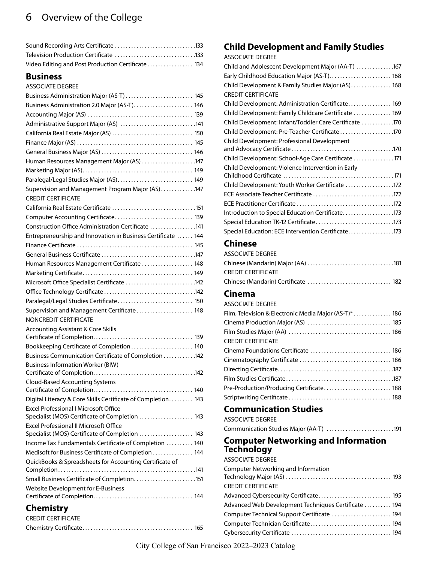<span id="page-5-0"></span>

| Video Editing and Post Production Certificate 134 |  |
|---------------------------------------------------|--|

#### **[Business](#page-68-0)** ASSOCIATE DEGREE

| AJJULIAI E DEUNEE                                                                       |
|-----------------------------------------------------------------------------------------|
| Business Administration Major (AS-T)  145                                               |
| Business Administration 2.0 Major (AS-T) 146                                            |
|                                                                                         |
| Administrative Support Major (AS) 141                                                   |
| California Real Estate Major (AS)  150                                                  |
|                                                                                         |
|                                                                                         |
| Human Resources Management Major (AS) 147                                               |
|                                                                                         |
| Paralegal/Legal Studies Major (AS) 149                                                  |
| Supervision and Management Program Major (AS)147                                        |
| <b>CREDIT CERTIFICATE</b>                                                               |
|                                                                                         |
| Computer Accounting Certificate 139                                                     |
| Construction Office Administration Certificate 141                                      |
| Entrepreneurship and Innovation in Business Certificate  144                            |
|                                                                                         |
|                                                                                         |
| Human Resources Management Certificate  148                                             |
|                                                                                         |
| Microsoft Office Specialist Certificate 142                                             |
|                                                                                         |
| Paralegal/Legal Studies Certificate 150                                                 |
| Supervision and Management Certificate 148                                              |
| NONCREDIT CERTIFICATE                                                                   |
| <b>Accounting Assistant &amp; Core Skills</b>                                           |
|                                                                                         |
| Bookkeeping Certificate of Completion 140                                               |
| Business Communication Certificate of Completion 142                                    |
| <b>Business Information Worker (BIW)</b>                                                |
|                                                                                         |
| Cloud-Based Accounting Systems                                                          |
|                                                                                         |
| Digital Literacy & Core Skills Certificate of Completion 143                            |
| Excel Professional I Microsoft Office<br>Specialist (MOS) Certificate of Completion 143 |
| <b>Excel Professional II Microsoft Office</b>                                           |
| Specialist (MOS) Certificate of Completion  143                                         |
| Income Tax Fundamentals Certificate of Completion  140                                  |
| Medisoft for Business Certificate of Completion 144                                     |
| QuickBooks & Spreadsheets for Accounting Certificate of                                 |
|                                                                                         |
| Small Business Certificate of Completion151                                             |
| Website Development for E-Business                                                      |
|                                                                                         |
|                                                                                         |

### **[Chemistry](#page-97-0)**

| <b>CREDIT CERTIFICATE</b> |  |
|---------------------------|--|
|                           |  |

### **[Child Development and Family Studies](#page-99-0)**

#### ASSOCIATE DEGREE

| Child and Adolescent Development Major (AA-T) 167      |
|--------------------------------------------------------|
| Early Childhood Education Major (AS-T) 168             |
| Child Development & Family Studies Major (AS) 168      |
| <b>CREDIT CERTIFICATE</b>                              |
| Child Development: Administration Certificate 169      |
| Child Development: Family Childcare Certificate  169   |
| Child Development: Infant/Toddler Care Certificate 170 |
|                                                        |
| Child Development: Professional Development            |
|                                                        |
| Child Development: School-Age Care Certificate 171     |
| Child Development: Violence Intervention in Early      |
|                                                        |
| Child Development: Youth Worker Certificate 172        |
|                                                        |
|                                                        |
| Introduction to Special Education Certificate173       |
| Special Education TK-12 Certificate173                 |
| Special Education: ECE Intervention Certificate173     |

### **[Chinese](#page-113-0)**

| ASSOCIATE DEGREE   |
|--------------------|
|                    |
| CREDIT CERTIFICATE |
|                    |

### **[Cinema](#page-117-0)**

| <b>ASSOCIATE DEGREE</b>                               |
|-------------------------------------------------------|
| Film, Television & Electronic Media Major (AS-T)* 186 |
|                                                       |
|                                                       |
| <b>CREDIT CERTIFICATE</b>                             |
| Cinema Foundations Certificate  186                   |
|                                                       |
|                                                       |
|                                                       |
| Pre-Production/Producing Certificate 188              |
|                                                       |
|                                                       |

#### **[Communication Studies](#page-123-0)** ASSOCIATE DEGREE

| AJJULIAI E DEUNEE                      |  |
|----------------------------------------|--|
| Communication Studies Major (AA-T) 191 |  |

#### **[Computer Networking and Information](#page-125-0)  [Technology](#page-125-0)**

| <b>ASSOCIATE DEGREE</b>                              |  |
|------------------------------------------------------|--|
| Computer Networking and Information                  |  |
|                                                      |  |
| <b>CREDIT CERTIFICATE</b>                            |  |
| Advanced Cybersecurity Certificate 195               |  |
| Advanced Web Development Techniques Certificate  194 |  |
| Computer Technical Support Certificate  194          |  |
| Computer Technician Certificate 194                  |  |
|                                                      |  |
|                                                      |  |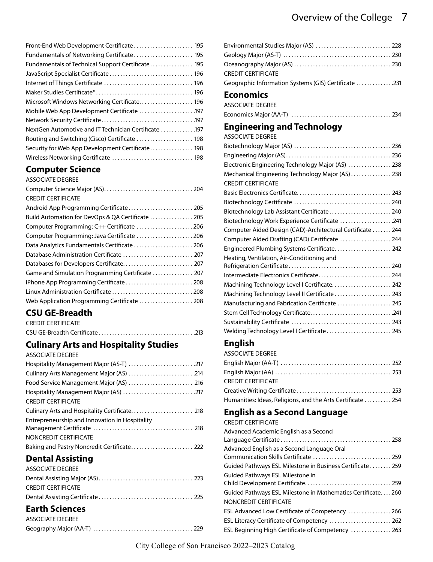<span id="page-6-0"></span>

| Front-End Web Development Certificate 195            |
|------------------------------------------------------|
| Fundamentals of Networking Certificate 195           |
| Fundamentals of Technical Support Certificate 195    |
|                                                      |
|                                                      |
|                                                      |
| Microsoft Windows Networking Certificate 196         |
| Mobile Web App Development Certificate 197           |
|                                                      |
| NextGen Automotive and IT Technician Certificate 197 |
| Routing and Switching (Cisco) Certificate  198       |
| Security for Web App Development Certificate 198     |
| Wireless Networking Certificate  198                 |
|                                                      |

# **[Computer Science](#page-136-0)**

| <b>ASSOCIATE DEGREE</b>                           |  |
|---------------------------------------------------|--|
|                                                   |  |
| <b>CREDIT CERTIFICATE</b>                         |  |
| Android App Programming Certificate 205           |  |
| Build Automation for DevOps & QA Certificate  205 |  |
| Computer Programming: C++ Certificate 206         |  |
| Computer Programming: Java Certificate 206        |  |
| Data Analytics Fundamentals Certificate 206       |  |
| Database Administration Certificate  207          |  |
|                                                   |  |
| Game and Simulation Programming Certificate  207  |  |
| iPhone App Programming Certificate208             |  |
|                                                   |  |
| Web Application Programming Certificate 208       |  |
|                                                   |  |

#### **CSU GE-Breadth** CREDIT CERTIFICATE

| CREDIT CERTIFICATE |  |
|--------------------|--|
|                    |  |

# **[Culinary Arts and Hospitality Studies](#page-144-0)**

| Hospitality Management Major (AS-T) 217        |
|------------------------------------------------|
| Culinary Arts Management Major (AS) 214        |
| Food Service Management Major (AS)  216        |
|                                                |
| <b>CREDIT CERTIFICATE</b>                      |
|                                                |
| Entrepreneurship and Innovation in Hospitality |
|                                                |
| NONCREDIT CERTIFICATE                          |
| Baking and Pastry Noncredit Certificate 222    |

# **[Dental Assisting](#page-154-0)**

| ASSOCIATE DEGREE   |  |
|--------------------|--|
|                    |  |
| CREDIT CERTIFICATE |  |
|                    |  |
|                    |  |

# **[Earth Sciences](#page-159-0)**

| ASSOCIATE DEGREE |  |
|------------------|--|
|                  |  |

| Environmental Studies Major (AS)  228<br><b>CREDIT CERTIFICATE</b> |
|--------------------------------------------------------------------|
| Geographic Information Systems (GIS) Certificate 231               |
| Economics                                                          |
| <b>ASSOCIATE DEGREE</b>                                            |
|                                                                    |
| <b>Engineering and Technology</b>                                  |
| <b>ASSOCIATE DEGREE</b>                                            |
|                                                                    |
|                                                                    |
| Electronic Engineering Technology Major (AS)  238                  |
| Mechanical Engineering Technology Major (AS) 238                   |
| <b>CREDIT CERTIFICATE</b>                                          |
|                                                                    |
|                                                                    |
| Biotechnology Lab Assistant Certificate 240                        |
| Biotechnology Work Experience Certificate 241                      |
| Computer Aided Design (CAD)-Architectural Certificate  244         |
| Computer Aided Drafting (CAD) Certificate  244                     |
| Engineered Plumbing Systems Certificate 242                        |
| Heating, Ventilation, Air-Conditioning and                         |
|                                                                    |
| Intermediate Electronics Certificate 244                           |
| Machining Technology Level I Certificate 242                       |
| Machining Technology Level II Certificate  243                     |
| Manufacturing and Fabrication Certificate  245                     |
|                                                                    |
|                                                                    |
| Welding Technology Level I Certificate 245                         |

# **[English](#page-183-0)**

ASSOCIATE DEGREE

| CREDIT CERTIFICATE                                         |  |
|------------------------------------------------------------|--|
|                                                            |  |
| Humanities: Ideas, Religions, and the Arts Certificate 254 |  |

# **[English as a Second Language](#page-189-0)**

CREDIT CERTIFICATE

| Advanced Academic English as a Second                                               |
|-------------------------------------------------------------------------------------|
| Advanced English as a Second Language Oral<br>Communication Skills Certificate  259 |
| Guided Pathways ESL Milestone in Business Certificate 259                           |
| Guided Pathways ESL Milestone in                                                    |
|                                                                                     |
| Guided Pathways ESL Milestone in Mathematics Certificate260                         |
| NONCREDIT CERTIFICATE                                                               |
| ESL Advanced Low Certificate of Competency 266                                      |
| ESL Literacy Certificate of Competency  262                                         |
| ESL Beginning High Certificate of Competency  263                                   |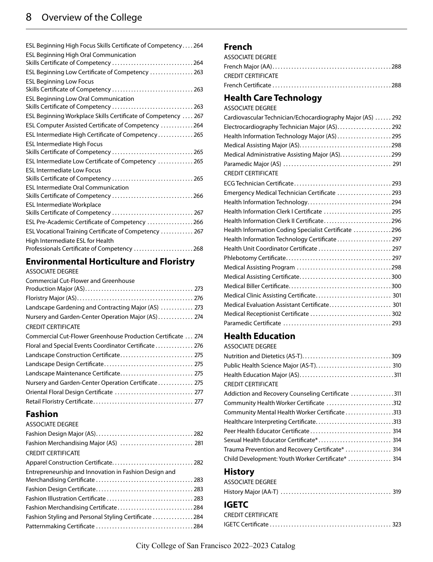<span id="page-7-0"></span>

# **[Environmental Horticulture and Floristry](#page-205-0)**

#### ASSOCIATE DEGREE

| <b>Commercial Cut-Flower and Greenhouse</b>                  |
|--------------------------------------------------------------|
|                                                              |
|                                                              |
| Landscape Gardening and Contracting Major (AS)  273          |
| Nursery and Garden-Center Operation Major (AS) 274           |
| <b>CREDIT CERTIFICATE</b>                                    |
| Commercial Cut-Flower Greenhouse Production Certificate  274 |
| Floral and Special Events Coordinator Certificate  276       |
|                                                              |
|                                                              |
| Landscape Maintenance Certificate 275                        |
| Nursery and Garden-Center Operation Certificate  275         |
| Oriental Floral Design Certificate  277                      |
|                                                              |

### **[Fashion](#page-213-0)**

| <b>ASSOCIATE DEGREE</b>                               |  |
|-------------------------------------------------------|--|
|                                                       |  |
|                                                       |  |
| <b>CREDIT CERTIFICATE</b>                             |  |
|                                                       |  |
| Entrepreneurship and Innovation in Fashion Design and |  |
|                                                       |  |
|                                                       |  |
|                                                       |  |
| Fashion Merchandising Certificate284                  |  |
| Fashion Styling and Personal Styling Certificate 284  |  |
|                                                       |  |
|                                                       |  |

### **[French](#page-220-0)**

| ASSOCIATE DEGREE   |  |
|--------------------|--|
|                    |  |
| CREDIT CERTIFICATE |  |
|                    |  |

### **[Health Care Technology](#page-226-0)**

ASSOCIATE DEGREE

| Cardiovascular Technician/Echocardiography Major (AS)  292 |  |
|------------------------------------------------------------|--|
| Electrocardiography Technician Major (AS) 292              |  |
| Health Information Technology Major (AS)  295              |  |
|                                                            |  |
| Medical Administrative Assisting Major (AS)299             |  |
|                                                            |  |
| <b>CREDIT CERTIFICATE</b>                                  |  |
|                                                            |  |
| Emergency Medical Technician Certificate  293              |  |
|                                                            |  |
| Health Information Clerk I Certificate  295                |  |
| Health Information Clerk II Certificate296                 |  |
| Health Information Coding Specialist Certificate 296       |  |
| Health Information Technology Certificate 297              |  |
| Health Unit Coordinator Certificate  297                   |  |
|                                                            |  |
|                                                            |  |
|                                                            |  |
|                                                            |  |
| Medical Clinic Assisting Certificate 301                   |  |
| Medical Evaluation Assistant Certificate 301               |  |
| Medical Receptionist Certificate  302                      |  |
|                                                            |  |

#### **[Health Education](#page-246-0)**

ASSOCIATE DEGREE

| <b>CREDIT CERTIFICATE</b>                         |
|---------------------------------------------------|
| Addiction and Recovery Counseling Certificate 311 |
| Community Health Worker Certificate 312           |
| Community Mental Health Worker Certificate313     |
|                                                   |
|                                                   |
|                                                   |
| Trauma Prevention and Recovery Certificate*  314  |
| Child Development: Youth Worker Certificate*  314 |

### **[History](#page-257-0)**

| ASSOCIATE DEGREE |  |
|------------------|--|
|                  |  |

### **IGETC**

| <b>CREDIT CERTIFICATE</b> |  |
|---------------------------|--|
|                           |  |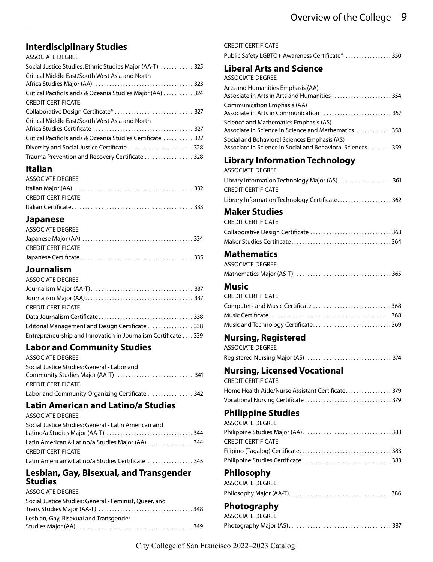### <span id="page-8-0"></span>**[Interdisciplinary Studies](#page-260-0)**

#### ASSOCIATE DEGREE

| Social Justice Studies: Ethnic Studies Major (AA-T)  325    |
|-------------------------------------------------------------|
| Critical Middle East/South West Asia and North              |
|                                                             |
| Critical Pacific Islands & Oceania Studies Major (AA)  324  |
| <b>CREDIT CERTIFICATE</b>                                   |
| Collaborative Design Certificate*  327                      |
| Critical Middle East/South West Asia and North              |
|                                                             |
| Critical Pacific Islands & Oceania Studies Certificate  327 |
| Diversity and Social Justice Certificate  328               |
| Trauma Prevention and Recovery Certificate  328             |

### **[Italian](#page-269-0)**

| ASSOCIATE DEGREE   |  |
|--------------------|--|
|                    |  |
| CREDIT CERTIFICATE |  |
|                    |  |

### **[Japanese](#page-272-0)**

| ASSOCIATE DEGREE   |  |
|--------------------|--|
|                    |  |
| CREDIT CERTIFICATE |  |
|                    |  |

### **[Journalism](#page-274-0)**

| ASSOCIATE DEGREE                                              |  |
|---------------------------------------------------------------|--|
|                                                               |  |
|                                                               |  |
| <b>CREDIT CERTIFICATE</b>                                     |  |
|                                                               |  |
| Editorial Management and Design Certificate 338               |  |
| Entrepreneurship and Innovation in Journalism Certificate 339 |  |

# **[Labor and Community Studies](#page-278-0)**

| <b>ASSOCIATE DEGREE</b>                         |
|-------------------------------------------------|
| Social Justice Studies: General - Labor and     |
|                                                 |
| <b>CREDIT CERTIFICATE</b>                       |
| Labor and Community Organizing Certificate  342 |
|                                                 |

#### **[Latin American and Latino/a Studies](#page-281-0)** ASSOCIATE DEGREE

| ASSOCIATE DEGREE                                     |  |
|------------------------------------------------------|--|
| Social Justice Studies: General - Latin American and |  |
|                                                      |  |
| Latin American & Latino/a Studies Major (AA) 344     |  |
| <b>CREDIT CERTIFICATE</b>                            |  |
| Latin American & Latino/a Studies Certificate  345   |  |

### **[Lesbian, Gay, Bisexual, and Transgender](#page-285-0)  [Studies](#page-285-0)**

| ASSOCIATE DEGREE |  |
|------------------|--|
|------------------|--|

| Social Justice Studies: General - Feminist, Oueer, and |  |
|--------------------------------------------------------|--|
|                                                        |  |
| Lesbian, Gay, Bisexual and Transgender                 |  |
|                                                        |  |

| Public Safety LGBTQ+ Awareness Certificate*  350                                                                |
|-----------------------------------------------------------------------------------------------------------------|
| <b>Liberal Arts and Science</b><br><b>ASSOCIATE DEGREE</b>                                                      |
| Arts and Humanities Emphasis (AA)<br>Associate in Arts in Arts and Humanities  354                              |
| Communication Emphasis (AA)<br>Associate in Arts in Communication  357<br>Science and Mathematics Emphasis (AS) |
| Associate in Science in Science and Mathematics  358<br>Social and Behavioral Sciences Emphasis (AS)            |
| Associate in Science in Social and Behavioral Sciences 359                                                      |
| <b>Library Information Technology</b><br><b>ASSOCIATE DEGREE</b>                                                |
| <b>CREDIT CERTIFICATE</b>                                                                                       |
| Library Information Technology Certificate 362                                                                  |
| <b>Maker Studies</b>                                                                                            |
| <b>CREDIT CERTIFICATE</b><br>Collaborative Design Certificate  363                                              |
|                                                                                                                 |
| <b>Mathematics</b>                                                                                              |
| <b>ASSOCIATE DEGREE</b>                                                                                         |
|                                                                                                                 |
| Music                                                                                                           |
| <b>CREDIT CERTIFICATE</b>                                                                                       |
| Computers and Music Certificate 368                                                                             |
|                                                                                                                 |
|                                                                                                                 |
| Music and Technology Certificate369                                                                             |
| <b>Nursing, Registered</b><br><b>ASSOCIATE DEGREE</b>                                                           |
|                                                                                                                 |
| <b>Nursing, Licensed Vocational</b><br><b>CREDIT CERTIFICATE</b>                                                |
| Home Health Aide/Nurse Assistant Certificate 379                                                                |
|                                                                                                                 |
| <b>Philippine Studies</b>                                                                                       |
| <b>ASSOCIATE DEGREE</b>                                                                                         |
|                                                                                                                 |
| <b>CREDIT CERTIFICATE</b>                                                                                       |
|                                                                                                                 |
|                                                                                                                 |
| Philosophy<br><b>ASSOCIATE DEGREE</b>                                                                           |
|                                                                                                                 |

[Photography Major \(AS\) . . . . . . . . . . . . . . . . . . . . . . . . . . . . . . . . . . . . . .](#page-320-0) 387